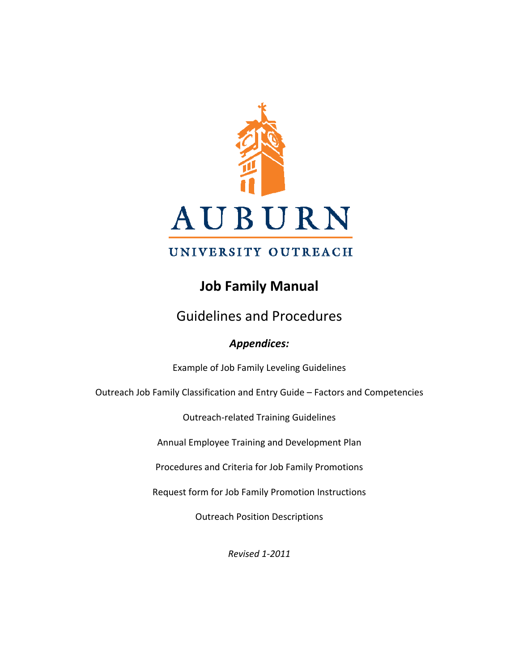

# UNIVERSITY OUTREACH

# **Job Family Manual**

# Guidelines and Procedures

# *Appendices:*

Example of Job Family Leveling Guidelines

Outreach Job Family Classification and Entry Guide – Factors and Competencies

Outreach‐related Training Guidelines

Annual Employee Training and Development Plan

Procedures and Criteria for Job Family Promotions

Request form for Job Family Promotion Instructions

Outreach Position Descriptions

*Revised 1‐2011*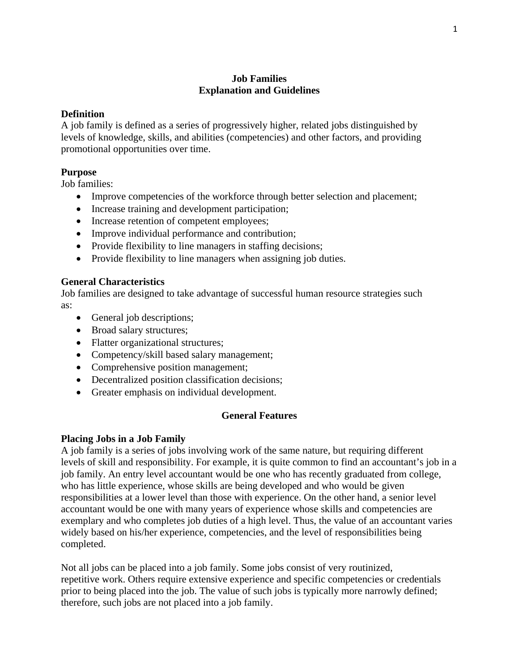# **Job Families Explanation and Guidelines**

### **Definition**

A job family is defined as a series of progressively higher, related jobs distinguished by levels of knowledge, skills, and abilities (competencies) and other factors, and providing promotional opportunities over time.

## **Purpose**

Job families:

- Improve competencies of the workforce through better selection and placement;
- Increase training and development participation;
- Increase retention of competent employees;
- Improve individual performance and contribution;
- Provide flexibility to line managers in staffing decisions;
- Provide flexibility to line managers when assigning job duties.

### **General Characteristics**

Job families are designed to take advantage of successful human resource strategies such as:

- General job descriptions;
- Broad salary structures;
- Flatter organizational structures;
- Competency/skill based salary management;
- Comprehensive position management;
- Decentralized position classification decisions;
- Greater emphasis on individual development.

### **General Features**

### **Placing Jobs in a Job Family**

A job family is a series of jobs involving work of the same nature, but requiring different levels of skill and responsibility. For example, it is quite common to find an accountant's job in a job family. An entry level accountant would be one who has recently graduated from college, who has little experience, whose skills are being developed and who would be given responsibilities at a lower level than those with experience. On the other hand, a senior level accountant would be one with many years of experience whose skills and competencies are exemplary and who completes job duties of a high level. Thus, the value of an accountant varies widely based on his/her experience, competencies, and the level of responsibilities being completed.

Not all jobs can be placed into a job family. Some jobs consist of very routinized, repetitive work. Others require extensive experience and specific competencies or credentials prior to being placed into the job. The value of such jobs is typically more narrowly defined; therefore, such jobs are not placed into a job family.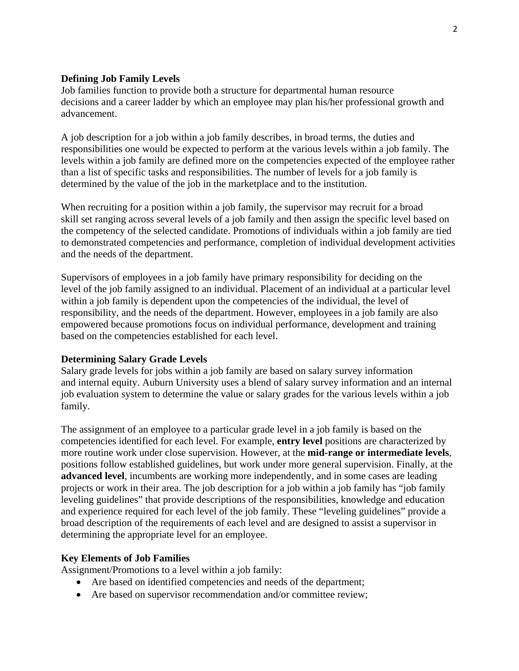#### **Defining Job Family Levels**

Job families function to provide both a structure for departmental human resource decisions and a career ladder by which an employee may plan his/her professional growth and advancement.

A job description for a job within a job family describes, in broad terms, the duties and responsibilities one would be expected to perform at the various levels within a job family. The levels within a job family are defined more on the competencies expected of the employee rather than a list of specific tasks and responsibilities. The number of levels for a job family is determined by the value of the job in the marketplace and to the institution.

When recruiting for a position within a job family, the supervisor may recruit for a broad skill set ranging across several levels of a job family and then assign the specific level based on the competency of the selected candidate. Promotions of individuals within a job family are tied to demonstrated competencies and performance, completion of individual development activities and the needs of the department.

Supervisors of employees in a job family have primary responsibility for deciding on the level of the job family assigned to an individual. Placement of an individual at a particular level within a job family is dependent upon the competencies of the individual, the level of responsibility, and the needs of the department. However, employees in a job family are also empowered because promotions focus on individual performance, development and training based on the competencies established for each level.

#### **Determining Salary Grade Levels**

Salary grade levels for jobs within a job family are based on salary survey information and internal equity. Auburn University uses a blend of salary survey information and an internal job evaluation system to determine the value or salary grades for the various levels within a job family.

The assignment of an employee to a particular grade level in a job family is based on the competencies identified for each level. For example, **entry level** positions are characterized by more routine work under close supervision. However, at the **mid-range or intermediate levels**, positions follow established guidelines, but work under more general supervision. Finally, at the **advanced level**, incumbents are working more independently, and in some cases are leading projects or work in their area. The job description for a job within a job family has "job family leveling guidelines" that provide descriptions of the responsibilities, knowledge and education and experience required for each level of the job family. These "leveling guidelines" provide a broad description of the requirements of each level and are designed to assist a supervisor in determining the appropriate level for an employee.

#### **Key Elements of Job Families**

Assignment/Promotions to a level within a job family:

- Are based on identified competencies and needs of the department;
- Are based on supervisor recommendation and/or committee review;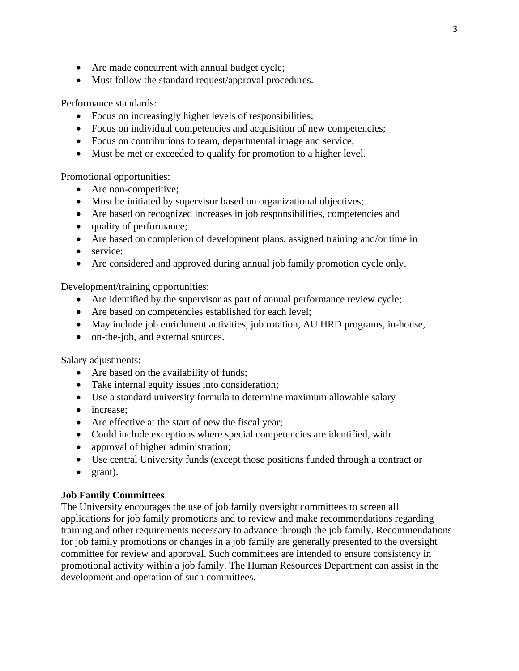- Are made concurrent with annual budget cycle;
- Must follow the standard request/approval procedures.

Performance standards:

- Focus on increasingly higher levels of responsibilities;
- Focus on individual competencies and acquisition of new competencies;
- Focus on contributions to team, departmental image and service;
- Must be met or exceeded to qualify for promotion to a higher level.

Promotional opportunities:

- Are non-competitive;
- Must be initiated by supervisor based on organizational objectives;
- Are based on recognized increases in job responsibilities, competencies and
- quality of performance;
- Are based on completion of development plans, assigned training and/or time in
- service;
- Are considered and approved during annual job family promotion cycle only.

Development/training opportunities:

- Are identified by the supervisor as part of annual performance review cycle;
- Are based on competencies established for each level;
- May include job enrichment activities, job rotation, AU HRD programs, in-house,
- on-the-job, and external sources.

Salary adjustments:

- Are based on the availability of funds;
- Take internal equity issues into consideration;
- Use a standard university formula to determine maximum allowable salary
- increase:
- Are effective at the start of new the fiscal year;
- Could include exceptions where special competencies are identified, with
- approval of higher administration;
- Use central University funds (except those positions funded through a contract or
- grant).

### **Job Family Committees**

The University encourages the use of job family oversight committees to screen all applications for job family promotions and to review and make recommendations regarding training and other requirements necessary to advance through the job family. Recommendations for job family promotions or changes in a job family are generally presented to the oversight committee for review and approval. Such committees are intended to ensure consistency in promotional activity within a job family. The Human Resources Department can assist in the development and operation of such committees.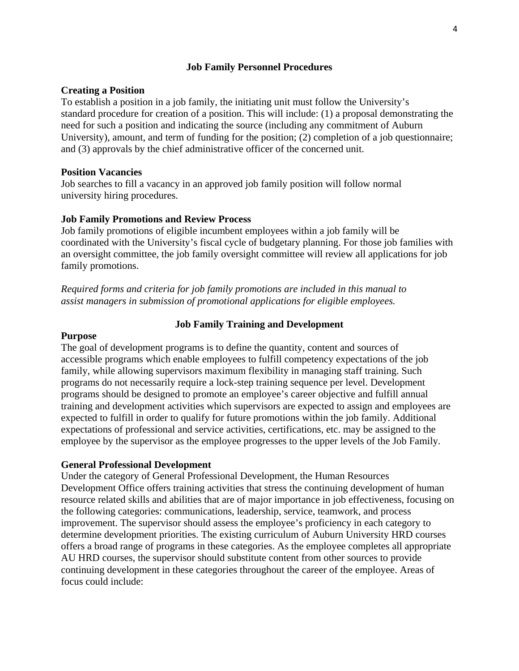### **Job Family Personnel Procedures**

### **Creating a Position**

To establish a position in a job family, the initiating unit must follow the University's standard procedure for creation of a position. This will include: (1) a proposal demonstrating the need for such a position and indicating the source (including any commitment of Auburn University), amount, and term of funding for the position; (2) completion of a job questionnaire; and (3) approvals by the chief administrative officer of the concerned unit.

## **Position Vacancies**

Job searches to fill a vacancy in an approved job family position will follow normal university hiring procedures.

## **Job Family Promotions and Review Process**

Job family promotions of eligible incumbent employees within a job family will be coordinated with the University's fiscal cycle of budgetary planning. For those job families with an oversight committee, the job family oversight committee will review all applications for job family promotions.

*Required forms and criteria for job family promotions are included in this manual to assist managers in submission of promotional applications for eligible employees.* 

## **Job Family Training and Development**

#### **Purpose**

The goal of development programs is to define the quantity, content and sources of accessible programs which enable employees to fulfill competency expectations of the job family, while allowing supervisors maximum flexibility in managing staff training. Such programs do not necessarily require a lock-step training sequence per level. Development programs should be designed to promote an employee's career objective and fulfill annual training and development activities which supervisors are expected to assign and employees are expected to fulfill in order to qualify for future promotions within the job family. Additional expectations of professional and service activities, certifications, etc. may be assigned to the employee by the supervisor as the employee progresses to the upper levels of the Job Family.

### **General Professional Development**

Under the category of General Professional Development, the Human Resources Development Office offers training activities that stress the continuing development of human resource related skills and abilities that are of major importance in job effectiveness, focusing on the following categories: communications, leadership, service, teamwork, and process improvement. The supervisor should assess the employee's proficiency in each category to determine development priorities. The existing curriculum of Auburn University HRD courses offers a broad range of programs in these categories. As the employee completes all appropriate AU HRD courses, the supervisor should substitute content from other sources to provide continuing development in these categories throughout the career of the employee. Areas of focus could include: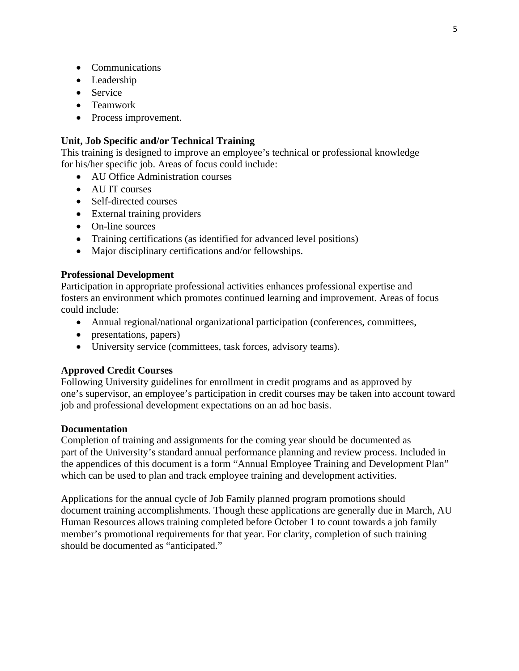- Communications
- Leadership
- Service
- Teamwork
- Process improvement.

#### **Unit, Job Specific and/or Technical Training**

This training is designed to improve an employee's technical or professional knowledge for his/her specific job. Areas of focus could include:

- AU Office Administration courses
- AU IT courses
- Self-directed courses
- External training providers
- On-line sources
- Training certifications (as identified for advanced level positions)
- Major disciplinary certifications and/or fellowships.

#### **Professional Development**

Participation in appropriate professional activities enhances professional expertise and fosters an environment which promotes continued learning and improvement. Areas of focus could include:

- Annual regional/national organizational participation (conferences, committees,
- presentations, papers)
- University service (committees, task forces, advisory teams).

#### **Approved Credit Courses**

Following University guidelines for enrollment in credit programs and as approved by one's supervisor, an employee's participation in credit courses may be taken into account toward job and professional development expectations on an ad hoc basis.

#### **Documentation**

Completion of training and assignments for the coming year should be documented as part of the University's standard annual performance planning and review process. Included in the appendices of this document is a form "Annual Employee Training and Development Plan" which can be used to plan and track employee training and development activities.

Applications for the annual cycle of Job Family planned program promotions should document training accomplishments. Though these applications are generally due in March, AU Human Resources allows training completed before October 1 to count towards a job family member's promotional requirements for that year. For clarity, completion of such training should be documented as "anticipated."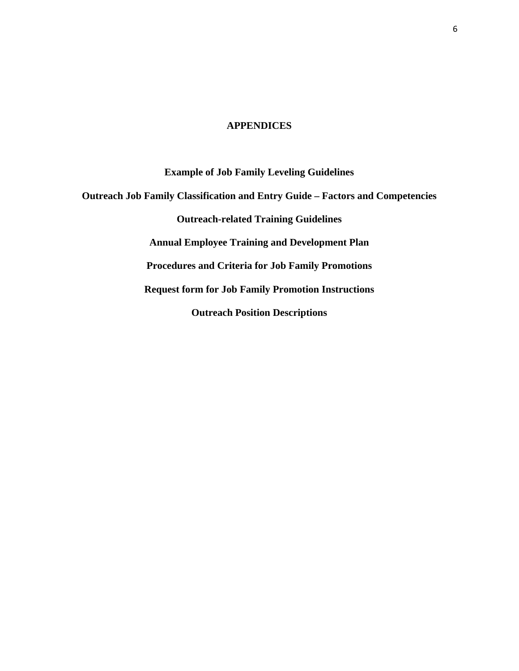#### **APPENDICES**

**Example of Job Family Leveling Guidelines Outreach Job Family Classification and Entry Guide – Factors and Competencies Outreach-related Training Guidelines Annual Employee Training and Development Plan Procedures and Criteria for Job Family Promotions Request form for Job Family Promotion Instructions Outreach Position Descriptions**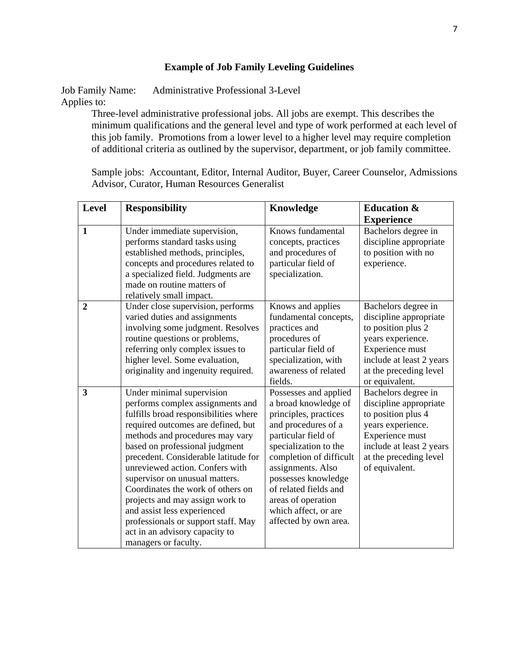# **Example of Job Family Leveling Guidelines**

Job Family Name: Administrative Professional 3-Level Applies to:

Three-level administrative professional jobs. All jobs are exempt. This describes the minimum qualifications and the general level and type of work performed at each level of this job family. Promotions from a lower level to a higher level may require completion of additional criteria as outlined by the supervisor, department, or job family committee.

Sample jobs: Accountant, Editor, Internal Auditor, Buyer, Career Counselor, Admissions Advisor, Curator, Human Resources Generalist

| <b>Level</b>   | <b>Responsibility</b>                                                                                                                                                                                                                                                                                                                                                                                                                                                                                                                  | Knowledge                                                                                                                                                                                                                                                                                                            | <b>Education &amp;</b>                                                                                                                                                              |
|----------------|----------------------------------------------------------------------------------------------------------------------------------------------------------------------------------------------------------------------------------------------------------------------------------------------------------------------------------------------------------------------------------------------------------------------------------------------------------------------------------------------------------------------------------------|----------------------------------------------------------------------------------------------------------------------------------------------------------------------------------------------------------------------------------------------------------------------------------------------------------------------|-------------------------------------------------------------------------------------------------------------------------------------------------------------------------------------|
|                |                                                                                                                                                                                                                                                                                                                                                                                                                                                                                                                                        |                                                                                                                                                                                                                                                                                                                      | <b>Experience</b>                                                                                                                                                                   |
| $\mathbf{1}$   | Under immediate supervision,<br>performs standard tasks using<br>established methods, principles,<br>concepts and procedures related to<br>a specialized field. Judgments are<br>made on routine matters of<br>relatively small impact.                                                                                                                                                                                                                                                                                                | Knows fundamental<br>concepts, practices<br>and procedures of<br>particular field of<br>specialization.                                                                                                                                                                                                              | Bachelors degree in<br>discipline appropriate<br>to position with no<br>experience.                                                                                                 |
| $\overline{2}$ | Under close supervision, performs<br>varied duties and assignments<br>involving some judgment. Resolves<br>routine questions or problems,<br>referring only complex issues to<br>higher level. Some evaluation,<br>originality and ingenuity required.                                                                                                                                                                                                                                                                                 | Knows and applies<br>fundamental concepts,<br>practices and<br>procedures of<br>particular field of<br>specialization, with<br>awareness of related<br>fields.                                                                                                                                                       | Bachelors degree in<br>discipline appropriate<br>to position plus 2<br>years experience.<br>Experience must<br>include at least 2 years<br>at the preceding level<br>or equivalent. |
| 3              | Under minimal supervision<br>performs complex assignments and<br>fulfills broad responsibilities where<br>required outcomes are defined, but<br>methods and procedures may vary<br>based on professional judgment<br>precedent. Considerable latitude for<br>unreviewed action. Confers with<br>supervisor on unusual matters.<br>Coordinates the work of others on<br>projects and may assign work to<br>and assist less experienced<br>professionals or support staff. May<br>act in an advisory capacity to<br>managers or faculty. | Possesses and applied<br>a broad knowledge of<br>principles, practices<br>and procedures of a<br>particular field of<br>specialization to the<br>completion of difficult<br>assignments. Also<br>possesses knowledge<br>of related fields and<br>areas of operation<br>which affect, or are<br>affected by own area. | Bachelors degree in<br>discipline appropriate<br>to position plus 4<br>years experience.<br>Experience must<br>include at least 2 years<br>at the preceding level<br>of equivalent. |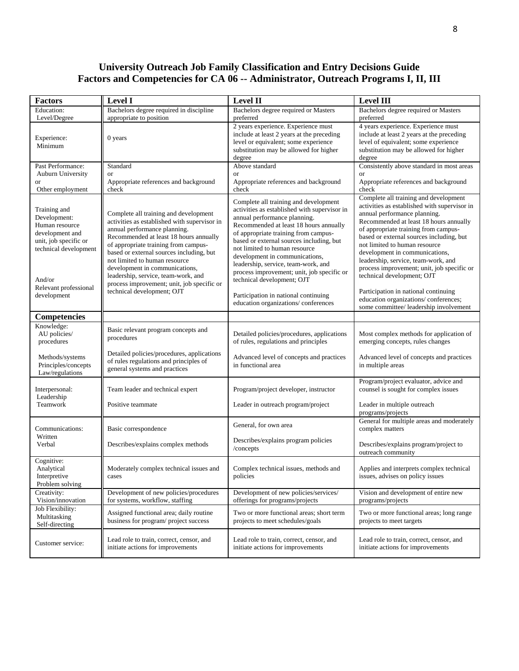#### **University Outreach Job Family Classification and Entry Decisions Guide Factors and Competencies for CA 06 -- Administrator, Outreach Programs I, II, III**

| <b>Factors</b>                                                                                                                                                        | <b>Level I</b>                                                                                                                                                                                                                                                                                                                                                                                                                            | <b>Level II</b>                                                                                                                                                                                                                                                                                                                                                                                                                                                                                                          | <b>Level III</b>                                                                                                                                                                                                                                                                                                                                                                                                                                                                                                                                                    |
|-----------------------------------------------------------------------------------------------------------------------------------------------------------------------|-------------------------------------------------------------------------------------------------------------------------------------------------------------------------------------------------------------------------------------------------------------------------------------------------------------------------------------------------------------------------------------------------------------------------------------------|--------------------------------------------------------------------------------------------------------------------------------------------------------------------------------------------------------------------------------------------------------------------------------------------------------------------------------------------------------------------------------------------------------------------------------------------------------------------------------------------------------------------------|---------------------------------------------------------------------------------------------------------------------------------------------------------------------------------------------------------------------------------------------------------------------------------------------------------------------------------------------------------------------------------------------------------------------------------------------------------------------------------------------------------------------------------------------------------------------|
| <b>Education:</b><br>Level/Degree                                                                                                                                     | Bachelors degree required in discipline<br>appropriate to position                                                                                                                                                                                                                                                                                                                                                                        | Bachelors degree required or Masters<br>preferred                                                                                                                                                                                                                                                                                                                                                                                                                                                                        | Bachelors degree required or Masters<br>preferred                                                                                                                                                                                                                                                                                                                                                                                                                                                                                                                   |
| Experience:<br>Minimum                                                                                                                                                | $0$ years                                                                                                                                                                                                                                                                                                                                                                                                                                 | 2 years experience. Experience must<br>include at least 2 years at the preceding<br>level or equivalent; some experience<br>substitution may be allowed for higher<br>degree                                                                                                                                                                                                                                                                                                                                             | 4 years experience. Experience must<br>include at least 2 years at the preceding<br>level of equivalent; some experience<br>substitution may be allowed for higher<br>degree                                                                                                                                                                                                                                                                                                                                                                                        |
| Past Performance:<br><b>Auburn University</b><br>or<br>Other employment                                                                                               | Standard<br><b>or</b><br>Appropriate references and background<br>check                                                                                                                                                                                                                                                                                                                                                                   | Above standard<br><b>or</b><br>Appropriate references and background<br>check                                                                                                                                                                                                                                                                                                                                                                                                                                            | Consistently above standard in most areas<br><b>or</b><br>Appropriate references and background<br>check                                                                                                                                                                                                                                                                                                                                                                                                                                                            |
| Training and<br>Development:<br>Human resource<br>development and<br>unit, job specific or<br>technical development<br>And/or<br>Relevant professional<br>development | Complete all training and development<br>activities as established with supervisor in<br>annual performance planning.<br>Recommended at least 18 hours annually<br>of appropriate training from campus-<br>based or external sources including, but<br>not limited to human resource<br>development in communications,<br>leadership, service, team-work, and<br>process improvement; unit, job specific or<br>technical development; OJT | Complete all training and development<br>activities as established with supervisor in<br>annual performance planning.<br>Recommended at least 18 hours annually<br>of appropriate training from campus-<br>based or external sources including, but<br>not limited to human resource<br>development in communications,<br>leadership, service, team-work, and<br>process improvement; unit, job specific or<br>technical development; OJT<br>Participation in national continuing<br>education organizations/conferences | Complete all training and development<br>activities as established with supervisor in<br>annual performance planning.<br>Recommended at least 18 hours annually<br>of appropriate training from campus-<br>based or external sources including, but<br>not limited to human resource<br>development in communications,<br>leadership, service, team-work, and<br>process improvement; unit, job specific or<br>technical development; OJT<br>Participation in national continuing<br>education organizations/conferences;<br>some committee/ leadership involvement |
| <b>Competencies</b>                                                                                                                                                   |                                                                                                                                                                                                                                                                                                                                                                                                                                           |                                                                                                                                                                                                                                                                                                                                                                                                                                                                                                                          |                                                                                                                                                                                                                                                                                                                                                                                                                                                                                                                                                                     |
| Knowledge:<br>AU policies/<br>procedures<br>Methods/systems                                                                                                           | Basic relevant program concepts and<br>procedures<br>Detailed policies/procedures, applications<br>of rules regulations and principles of                                                                                                                                                                                                                                                                                                 | Detailed policies/procedures, applications<br>of rules, regulations and principles<br>Advanced level of concepts and practices                                                                                                                                                                                                                                                                                                                                                                                           | Most complex methods for application of<br>emerging concepts, rules changes<br>Advanced level of concepts and practices                                                                                                                                                                                                                                                                                                                                                                                                                                             |
| Principles/concepts<br>Law/regulations                                                                                                                                | general systems and practices                                                                                                                                                                                                                                                                                                                                                                                                             | in functional area                                                                                                                                                                                                                                                                                                                                                                                                                                                                                                       | in multiple areas                                                                                                                                                                                                                                                                                                                                                                                                                                                                                                                                                   |
| Interpersonal:<br>Leadership                                                                                                                                          | Team leader and technical expert                                                                                                                                                                                                                                                                                                                                                                                                          | Program/project developer, instructor                                                                                                                                                                                                                                                                                                                                                                                                                                                                                    | Program/project evaluator, advice and<br>counsel is sought for complex issues                                                                                                                                                                                                                                                                                                                                                                                                                                                                                       |
| Teamwork                                                                                                                                                              | Positive teammate                                                                                                                                                                                                                                                                                                                                                                                                                         | Leader in outreach program/project                                                                                                                                                                                                                                                                                                                                                                                                                                                                                       | Leader in multiple outreach<br>programs/projects                                                                                                                                                                                                                                                                                                                                                                                                                                                                                                                    |
| Communications:                                                                                                                                                       | Basic correspondence                                                                                                                                                                                                                                                                                                                                                                                                                      | General, for own area                                                                                                                                                                                                                                                                                                                                                                                                                                                                                                    | General for multiple areas and moderately<br>complex matters                                                                                                                                                                                                                                                                                                                                                                                                                                                                                                        |
| Written<br>Verbal                                                                                                                                                     | Describes/explains complex methods                                                                                                                                                                                                                                                                                                                                                                                                        | Describes/explains program policies<br>/concepts                                                                                                                                                                                                                                                                                                                                                                                                                                                                         | Describes/explains program/project to<br>outreach community                                                                                                                                                                                                                                                                                                                                                                                                                                                                                                         |
| Cognitive:<br>Analytical<br>Interpretive<br>Problem solving                                                                                                           | Moderately complex technical issues and<br>cases                                                                                                                                                                                                                                                                                                                                                                                          | Complex technical issues, methods and<br>policies                                                                                                                                                                                                                                                                                                                                                                                                                                                                        | Applies and interprets complex technical<br>issues, advises on policy issues                                                                                                                                                                                                                                                                                                                                                                                                                                                                                        |
| Creativity:<br>Vision/innovation                                                                                                                                      | Development of new policies/procedures<br>for systems, workflow, staffing                                                                                                                                                                                                                                                                                                                                                                 | Development of new policies/services/<br>offerings for programs/projects                                                                                                                                                                                                                                                                                                                                                                                                                                                 | Vision and development of entire new<br>programs/projects                                                                                                                                                                                                                                                                                                                                                                                                                                                                                                           |
| Job Flexibility:<br>Multitasking<br>Self-directing                                                                                                                    | Assigned functional area; daily routine<br>business for program/ project success                                                                                                                                                                                                                                                                                                                                                          | Two or more functional areas; short term<br>projects to meet schedules/goals                                                                                                                                                                                                                                                                                                                                                                                                                                             | Two or more functional areas; long range<br>projects to meet targets                                                                                                                                                                                                                                                                                                                                                                                                                                                                                                |
| Customer service:                                                                                                                                                     | Lead role to train, correct, censor, and<br>initiate actions for improvements                                                                                                                                                                                                                                                                                                                                                             | Lead role to train, correct, censor, and<br>initiate actions for improvements                                                                                                                                                                                                                                                                                                                                                                                                                                            | Lead role to train, correct, censor, and<br>initiate actions for improvements                                                                                                                                                                                                                                                                                                                                                                                                                                                                                       |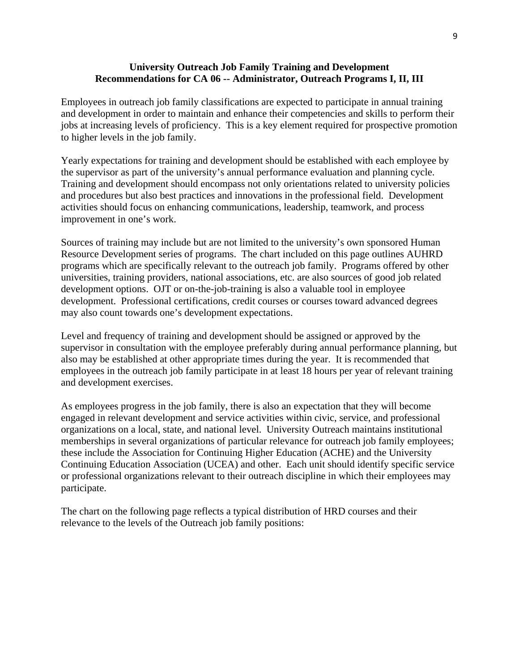#### **University Outreach Job Family Training and Development Recommendations for CA 06 -- Administrator, Outreach Programs I, II, III**

Employees in outreach job family classifications are expected to participate in annual training and development in order to maintain and enhance their competencies and skills to perform their jobs at increasing levels of proficiency. This is a key element required for prospective promotion to higher levels in the job family.

Yearly expectations for training and development should be established with each employee by the supervisor as part of the university's annual performance evaluation and planning cycle. Training and development should encompass not only orientations related to university policies and procedures but also best practices and innovations in the professional field. Development activities should focus on enhancing communications, leadership, teamwork, and process improvement in one's work.

Sources of training may include but are not limited to the university's own sponsored Human Resource Development series of programs. The chart included on this page outlines AUHRD programs which are specifically relevant to the outreach job family. Programs offered by other universities, training providers, national associations, etc. are also sources of good job related development options. OJT or on-the-job-training is also a valuable tool in employee development. Professional certifications, credit courses or courses toward advanced degrees may also count towards one's development expectations.

Level and frequency of training and development should be assigned or approved by the supervisor in consultation with the employee preferably during annual performance planning, but also may be established at other appropriate times during the year. It is recommended that employees in the outreach job family participate in at least 18 hours per year of relevant training and development exercises.

As employees progress in the job family, there is also an expectation that they will become engaged in relevant development and service activities within civic, service, and professional organizations on a local, state, and national level. University Outreach maintains institutional memberships in several organizations of particular relevance for outreach job family employees; these include the Association for Continuing Higher Education (ACHE) and the University Continuing Education Association (UCEA) and other. Each unit should identify specific service or professional organizations relevant to their outreach discipline in which their employees may participate.

The chart on the following page reflects a typical distribution of HRD courses and their relevance to the levels of the Outreach job family positions: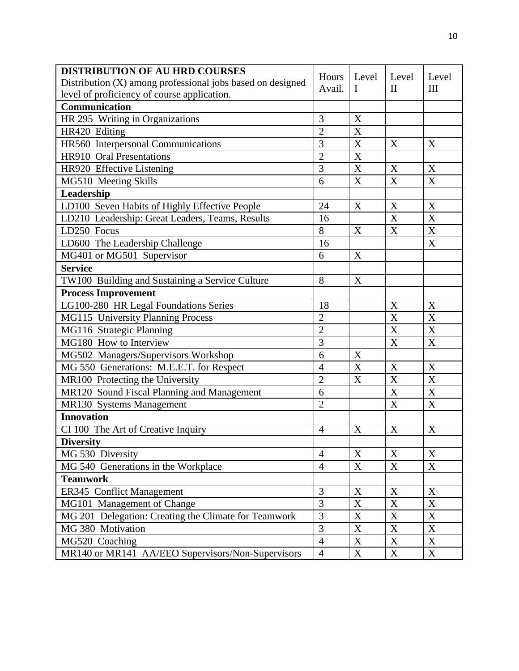| <b>DISTRIBUTION OF AU HRD COURSES</b>                      |                | Level                     | Level            | Level                     |
|------------------------------------------------------------|----------------|---------------------------|------------------|---------------------------|
| Distribution (X) among professional jobs based on designed |                | L                         | $\mathbf{I}$     | III                       |
| level of proficiency of course application.                |                |                           |                  |                           |
| <b>Communication</b>                                       |                |                           |                  |                           |
| HR 295 Writing in Organizations                            | 3              | X                         |                  |                           |
| HR420 Editing                                              | $\overline{2}$ | $\boldsymbol{\mathrm{X}}$ |                  |                           |
| HR560 Interpersonal Communications                         | 3              | X                         | X                | X                         |
| HR910 Oral Presentations                                   | $\overline{2}$ | $\boldsymbol{\mathrm{X}}$ |                  |                           |
| HR920 Effective Listening                                  | 3              | X                         | X                | X                         |
| MG510 Meeting Skills                                       | 6              | X                         | $\boldsymbol{X}$ | X                         |
| Leadership                                                 |                |                           |                  |                           |
| LD100 Seven Habits of Highly Effective People              | 24             | X                         | X                | X                         |
| LD210 Leadership: Great Leaders, Teams, Results            | 16             |                           | X                | X                         |
| LD250 Focus                                                | 8              | X                         | X                | X                         |
| LD600 The Leadership Challenge                             | 16             |                           |                  | X                         |
| MG401 or MG501 Supervisor                                  | 6              | X                         |                  |                           |
| <b>Service</b>                                             |                |                           |                  |                           |
| TW100 Building and Sustaining a Service Culture            | 8              | X                         |                  |                           |
| <b>Process Improvement</b>                                 |                |                           |                  |                           |
| LG100-280 HR Legal Foundations Series                      | 18             |                           | X                | X                         |
| MG115 University Planning Process                          | $\overline{2}$ |                           | X                | X                         |
| MG116 Strategic Planning                                   | $\overline{2}$ |                           | X                | X                         |
| MG180 How to Interview                                     | 3              |                           | X                | X                         |
| MG502 Managers/Supervisors Workshop                        | 6              | X                         |                  |                           |
| MG 550 Generations: M.E.E.T. for Respect                   | $\overline{4}$ | X                         | X                | X                         |
| MR100 Protecting the University                            | $\overline{2}$ | X                         | X                | X                         |
| MR120 Sound Fiscal Planning and Management                 | 6              |                           | X                | X                         |
| MR130 Systems Management                                   | $\overline{2}$ |                           | X                | $\boldsymbol{\mathrm{X}}$ |
| <b>Innovation</b>                                          |                |                           |                  |                           |
| CI 100 The Art of Creative Inquiry                         | $\overline{4}$ | X                         | X                | X                         |
| <b>Diversity</b>                                           |                |                           |                  |                           |
| MG 530 Diversity                                           | $\overline{4}$ | X                         | X                | X                         |
| MG 540 Generations in the Workplace                        | $\overline{4}$ | $\mathbf X$               | $\mathbf X$      | X                         |
| <b>Teamwork</b>                                            |                |                           |                  |                           |
| ER345 Conflict Management                                  | $\overline{3}$ | X                         | X                | X                         |
| MG101 Management of Change                                 |                | X                         | X                | X                         |
| MG 201 Delegation: Creating the Climate for Teamwork       |                | $\mathbf X$               | $\mathbf X$      | $\mathbf X$               |
| MG 380 Motivation                                          | $\overline{3}$ | $\mathbf X$               | X                | X                         |
| MG520 Coaching                                             | $\overline{4}$ | X                         | X                | X                         |
| MR140 or MR141 AA/EEO Supervisors/Non-Supervisors          | $\overline{4}$ | $\mathbf X$               | $\mathbf X$      | X                         |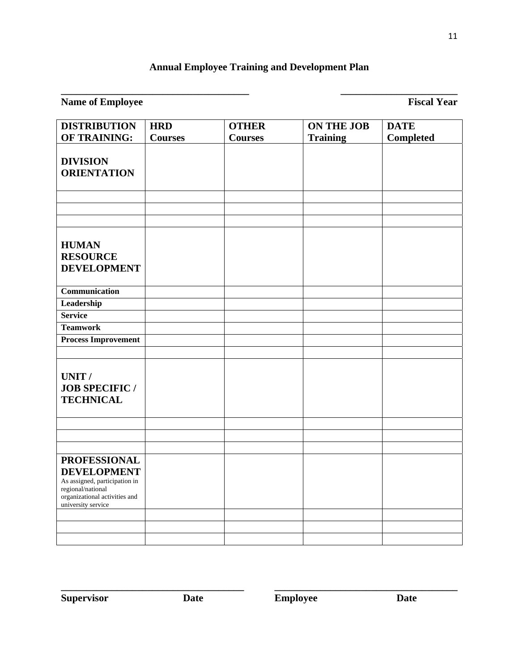# **Annual Employee Training and Development Plan**

**\_\_\_\_\_\_\_\_\_\_\_\_\_\_\_\_\_\_\_\_\_\_\_\_\_\_\_\_\_\_\_\_\_\_\_\_\_ \_\_\_\_\_\_\_\_\_\_\_\_\_\_\_\_\_\_\_\_\_\_\_** 

# **Name of Employee** Fiscal Year **Fiscal Year**

| <b>DISTRIBUTION</b>                                                                                                                                    | <b>HRD</b>     | <b>OTHER</b>   | <b>ON THE JOB</b> | <b>DATE</b>      |
|--------------------------------------------------------------------------------------------------------------------------------------------------------|----------------|----------------|-------------------|------------------|
| OF TRAINING:                                                                                                                                           | <b>Courses</b> | <b>Courses</b> | <b>Training</b>   | <b>Completed</b> |
| <b>DIVISION</b><br><b>ORIENTATION</b>                                                                                                                  |                |                |                   |                  |
|                                                                                                                                                        |                |                |                   |                  |
| <b>HUMAN</b><br><b>RESOURCE</b><br><b>DEVELOPMENT</b>                                                                                                  |                |                |                   |                  |
| Communication                                                                                                                                          |                |                |                   |                  |
| Leadership                                                                                                                                             |                |                |                   |                  |
| <b>Service</b>                                                                                                                                         |                |                |                   |                  |
| <b>Teamwork</b>                                                                                                                                        |                |                |                   |                  |
| <b>Process Improvement</b>                                                                                                                             |                |                |                   |                  |
|                                                                                                                                                        |                |                |                   |                  |
| UNIT /<br><b>JOB SPECIFIC/</b><br><b>TECHNICAL</b>                                                                                                     |                |                |                   |                  |
|                                                                                                                                                        |                |                |                   |                  |
|                                                                                                                                                        |                |                |                   |                  |
|                                                                                                                                                        |                |                |                   |                  |
| <b>PROFESSIONAL</b><br><b>DEVELOPMENT</b><br>As assigned, participation in<br>regional/national<br>organizational activities and<br>university service |                |                |                   |                  |
|                                                                                                                                                        |                |                |                   |                  |
|                                                                                                                                                        |                |                |                   |                  |
|                                                                                                                                                        |                |                |                   |                  |

**\_\_\_\_\_\_\_\_\_\_\_\_\_\_\_\_\_\_\_\_\_\_\_\_\_\_\_\_\_\_\_\_\_\_\_\_ \_\_\_\_\_\_\_\_\_\_\_\_\_\_\_\_\_\_\_\_\_\_\_\_\_\_\_\_\_\_\_\_\_\_\_\_**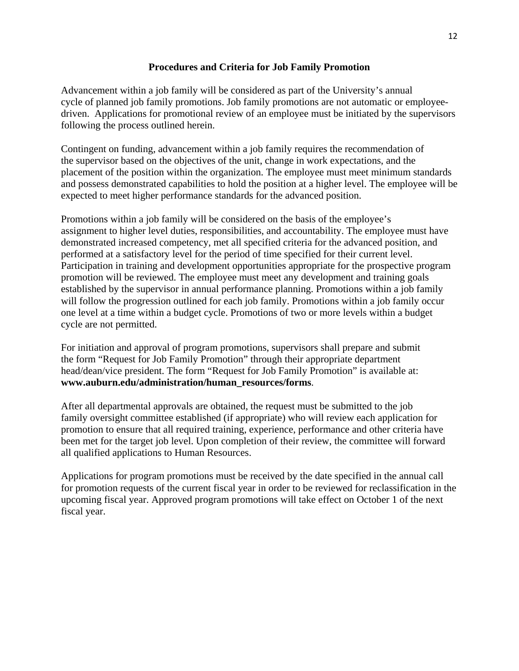### **Procedures and Criteria for Job Family Promotion**

Advancement within a job family will be considered as part of the University's annual cycle of planned job family promotions. Job family promotions are not automatic or employeedriven. Applications for promotional review of an employee must be initiated by the supervisors following the process outlined herein.

Contingent on funding, advancement within a job family requires the recommendation of the supervisor based on the objectives of the unit, change in work expectations, and the placement of the position within the organization. The employee must meet minimum standards and possess demonstrated capabilities to hold the position at a higher level. The employee will be expected to meet higher performance standards for the advanced position.

Promotions within a job family will be considered on the basis of the employee's assignment to higher level duties, responsibilities, and accountability. The employee must have demonstrated increased competency, met all specified criteria for the advanced position, and performed at a satisfactory level for the period of time specified for their current level. Participation in training and development opportunities appropriate for the prospective program promotion will be reviewed. The employee must meet any development and training goals established by the supervisor in annual performance planning. Promotions within a job family will follow the progression outlined for each job family. Promotions within a job family occur one level at a time within a budget cycle. Promotions of two or more levels within a budget cycle are not permitted.

For initiation and approval of program promotions, supervisors shall prepare and submit the form "Request for Job Family Promotion" through their appropriate department head/dean/vice president. The form "Request for Job Family Promotion" is available at: **www.auburn.edu/administration/human\_resources/forms**.

After all departmental approvals are obtained, the request must be submitted to the job family oversight committee established (if appropriate) who will review each application for promotion to ensure that all required training, experience, performance and other criteria have been met for the target job level. Upon completion of their review, the committee will forward all qualified applications to Human Resources.

Applications for program promotions must be received by the date specified in the annual call for promotion requests of the current fiscal year in order to be reviewed for reclassification in the upcoming fiscal year. Approved program promotions will take effect on October 1 of the next fiscal year.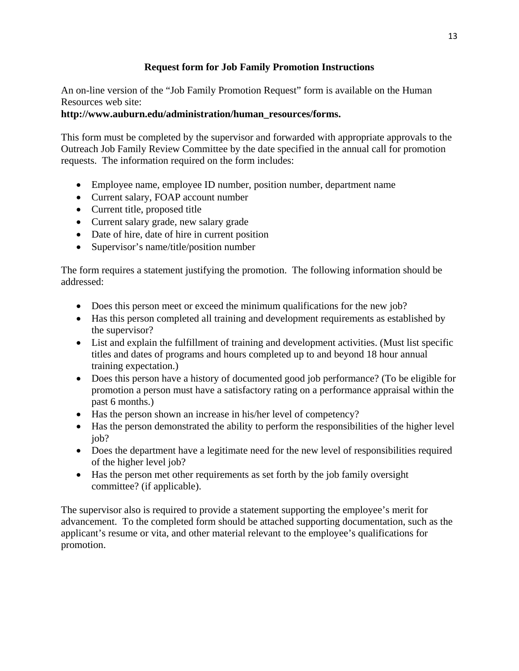# **Request form for Job Family Promotion Instructions**

An on-line version of the "Job Family Promotion Request" form is available on the Human Resources web site:

# **http://www.auburn.edu/administration/human\_resources/forms.**

This form must be completed by the supervisor and forwarded with appropriate approvals to the Outreach Job Family Review Committee by the date specified in the annual call for promotion requests. The information required on the form includes:

- Employee name, employee ID number, position number, department name
- Current salary, FOAP account number
- Current title, proposed title
- Current salary grade, new salary grade
- Date of hire, date of hire in current position
- Supervisor's name/title/position number

The form requires a statement justifying the promotion. The following information should be addressed:

- Does this person meet or exceed the minimum qualifications for the new job?
- Has this person completed all training and development requirements as established by the supervisor?
- List and explain the fulfillment of training and development activities. (Must list specific titles and dates of programs and hours completed up to and beyond 18 hour annual training expectation.)
- Does this person have a history of documented good job performance? (To be eligible for promotion a person must have a satisfactory rating on a performance appraisal within the past 6 months.)
- Has the person shown an increase in his/her level of competency?
- Has the person demonstrated the ability to perform the responsibilities of the higher level job?
- Does the department have a legitimate need for the new level of responsibilities required of the higher level job?
- Has the person met other requirements as set forth by the job family oversight committee? (if applicable).

The supervisor also is required to provide a statement supporting the employee's merit for advancement. To the completed form should be attached supporting documentation, such as the applicant's resume or vita, and other material relevant to the employee's qualifications for promotion.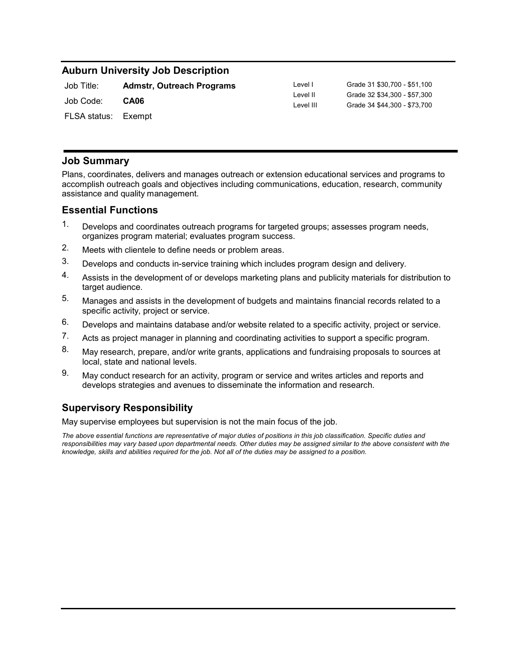## **Auburn University Job Description**

| Job Title:            | <b>Admstr, Outreach Programs</b> |
|-----------------------|----------------------------------|
| Job Code: <b>CA06</b> |                                  |
| FLSA status: Exempt   |                                  |

Level I Grade 31 \$30,700 - \$51,100 Level II Grade 32 \$34,300 - \$57,300 Level III Grade 34 \$44,300 - \$73,700

### **Job Summary**

Plans, coordinates, delivers and manages outreach or extension educational services and programs to accomplish outreach goals and objectives including communications, education, research, community assistance and quality management.

### **Essential Functions**

- 1. Develops and coordinates outreach programs for targeted groups; assesses program needs, organizes program material; evaluates program success.
- 2. Meets with clientele to define needs or problem areas.
- 3. Develops and conducts in-service training which includes program design and delivery.
- 4. Assists in the development of or develops marketing plans and publicity materials for distribution to target audience.
- Manages and assists in the development of budgets and maintains financial records related to a specific activity, project or service. 5.
- 6. Develops and maintains database and/or website related to a specific activity, project or service.
- 7. Acts as project manager in planning and coordinating activities to support a specific program.
- 8. May research, prepare, and/or write grants, applications and fundraising proposals to sources at local, state and national levels.
- 9. May conduct research for an activity, program or service and writes articles and reports and develops strategies and avenues to disseminate the information and research.

# **Supervisory Responsibility**

May supervise employees but supervision is not the main focus of the job.

*The above essential functions are representative of major duties of positions in this job classification. Specific duties and*  responsibilities may vary based upon departmental needs. Other duties may be assigned similar to the above consistent with the *knowledge, skills and abilities required for the job. Not all of the duties may be assigned to a position.*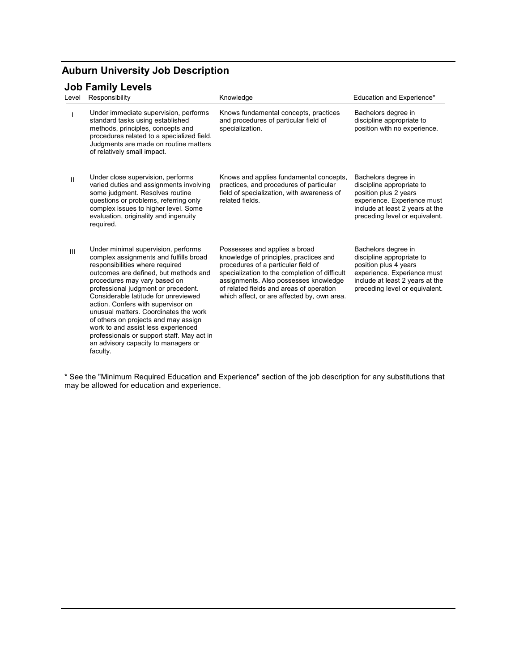# **Auburn University Job Description**

# **Job Family Levels**

| Level        | Responsibility                                                                                                                                                                                                                                                                                                                                                                                                                                                                                                                          | Knowledge                                                                                                                                                                                                                                                                                           | Education and Experience*                                                                                                                                                     |
|--------------|-----------------------------------------------------------------------------------------------------------------------------------------------------------------------------------------------------------------------------------------------------------------------------------------------------------------------------------------------------------------------------------------------------------------------------------------------------------------------------------------------------------------------------------------|-----------------------------------------------------------------------------------------------------------------------------------------------------------------------------------------------------------------------------------------------------------------------------------------------------|-------------------------------------------------------------------------------------------------------------------------------------------------------------------------------|
|              | Under immediate supervision, performs<br>standard tasks using established<br>methods, principles, concepts and<br>procedures related to a specialized field.<br>Judgments are made on routine matters<br>of relatively small impact.                                                                                                                                                                                                                                                                                                    | Knows fundamental concepts, practices<br>and procedures of particular field of<br>specialization.                                                                                                                                                                                                   | Bachelors degree in<br>discipline appropriate to<br>position with no experience.                                                                                              |
| $\mathbf{I}$ | Under close supervision, performs<br>varied duties and assignments involving<br>some judgment. Resolves routine<br>questions or problems, referring only<br>complex issues to higher level. Some<br>evaluation, originality and ingenuity<br>required.                                                                                                                                                                                                                                                                                  | Knows and applies fundamental concepts,<br>practices, and procedures of particular<br>field of specialization, with awareness of<br>related fields.                                                                                                                                                 | Bachelors degree in<br>discipline appropriate to<br>position plus 2 years<br>experience. Experience must<br>include at least 2 years at the<br>preceding level or equivalent. |
| III          | Under minimal supervision, performs<br>complex assignments and fulfills broad<br>responsibilities where required<br>outcomes are defined, but methods and<br>procedures may vary based on<br>professional judgment or precedent.<br>Considerable latitude for unreviewed<br>action. Confers with supervisor on<br>unusual matters. Coordinates the work<br>of others on projects and may assign<br>work to and assist less experienced<br>professionals or support staff. May act in<br>an advisory capacity to managers or<br>faculty. | Possesses and applies a broad<br>knowledge of principles, practices and<br>procedures of a particular field of<br>specialization to the completion of difficult<br>assignments. Also possesses knowledge<br>of related fields and areas of operation<br>which affect, or are affected by, own area. | Bachelors degree in<br>discipline appropriate to<br>position plus 4 years<br>experience. Experience must<br>include at least 2 years at the<br>preceding level or equivalent. |

\* See the "Minimum Required Education and Experience" section of the job description for any substitutions that may be allowed for education and experience.